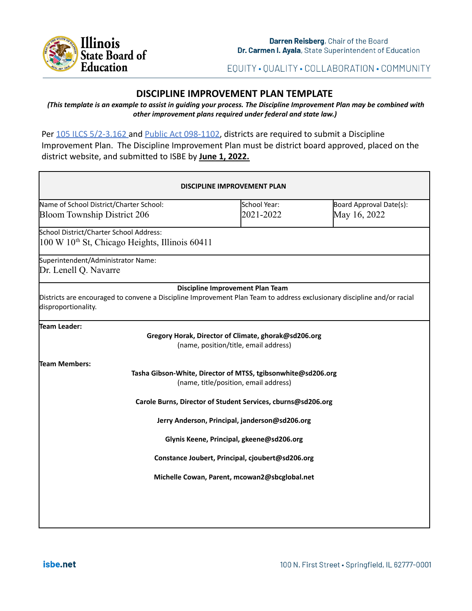

EQUITY · QUALITY · COLLABORATION · COMMUNITY

# **DISCIPLINE IMPROVEMENT PLAN TEMPLATE**

(This template is an example to assist in guiding your process. The Discipline Improvement Plan may be combined with *other improvement plans required under federal and state law.)*

Per [105 ILCS 5/2-3.162](https://www.ilga.gov/legislation/ilcs/fulltext.asp?DocName=010500050K2-3.162#:~:text=2%2D3.162.,report%3B%20school%20discipline%20improvement%20plan.&text=This%20report%20shall%20include%20data,the%20State%20Board%20of%20Education.) and [Public Act](https://www.ilga.gov/legislation/publicacts/fulltext.asp?Name=098-1102) 098-1102, districts are required to submit a Discipline Improvement Plan. The Discipline Improvement Plan must be district board approved, placed on the district website, and submitted to ISBE by **June 1, 2022.**

| <b>DISCIPLINE IMPROVEMENT PLAN</b>                                                                                                             |                                                                                                       |                                         |
|------------------------------------------------------------------------------------------------------------------------------------------------|-------------------------------------------------------------------------------------------------------|-----------------------------------------|
| Name of School District/Charter School:<br><b>Bloom Township District 206</b>                                                                  | School Year:<br>2021-2022                                                                             | Board Approval Date(s):<br>May 16, 2022 |
| School District/Charter School Address:<br>100 W 10 <sup>th</sup> St, Chicago Heights, Illinois 60411                                          |                                                                                                       |                                         |
| Superintendent/Administrator Name:<br>Dr. Lenell Q. Navarre                                                                                    |                                                                                                       |                                         |
| Districts are encouraged to convene a Discipline Improvement Plan Team to address exclusionary discipline and/or racial<br>disproportionality. | Discipline Improvement Plan Team                                                                      |                                         |
| Team Leader:                                                                                                                                   | Gregory Horak, Director of Climate, ghorak@sd206.org<br>(name, position/title, email address)         |                                         |
| Team Members:                                                                                                                                  | Tasha Gibson-White, Director of MTSS, tgibsonwhite@sd206.org<br>(name, title/position, email address) |                                         |
|                                                                                                                                                | Carole Burns, Director of Student Services, cburns@sd206.org                                          |                                         |
|                                                                                                                                                | Jerry Anderson, Principal, janderson@sd206.org                                                        |                                         |
|                                                                                                                                                | Glynis Keene, Principal, gkeene@sd206.org                                                             |                                         |
|                                                                                                                                                | Constance Joubert, Principal, cjoubert@sd206.org                                                      |                                         |
|                                                                                                                                                | Michelle Cowan, Parent, mcowan2@sbcglobal.net                                                         |                                         |
|                                                                                                                                                |                                                                                                       |                                         |
|                                                                                                                                                |                                                                                                       |                                         |
|                                                                                                                                                |                                                                                                       |                                         |